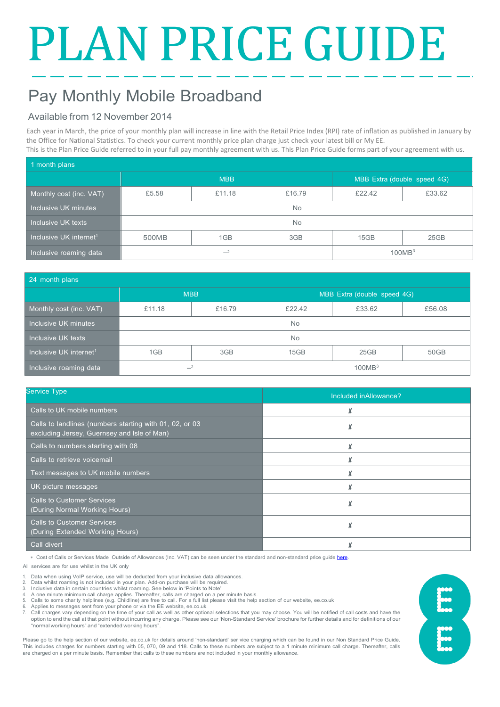# PLAN PRICE GUIDE

# Pay Monthly Mobile Broadband

### Available from 12 November 2014

Each year in March, the price of your monthly plan will increase in line with the Retail Price Index (RPI) rate of inflation as published in January by the Office for National Statistics. To check your current monthly price plan charge just check your latest bill or My EE. This is the Plan Price Guide referred to in your full pay monthly agreement with us. This Plan Price Guide forms part of your agreement with us.

| 1 month plans                      |            |        |        |                             |        |  |  |
|------------------------------------|------------|--------|--------|-----------------------------|--------|--|--|
|                                    | <b>MBB</b> |        |        | MBB Extra (double speed 4G) |        |  |  |
| Monthly cost (inc. VAT)            | £5.58      | £11.18 | £16.79 | £22.42                      | £33.62 |  |  |
| Inclusive UK minutes               | No.        |        |        |                             |        |  |  |
| Inclusive UK texts                 | <b>No</b>  |        |        |                             |        |  |  |
| Inclusive UK internet <sup>1</sup> | 500MB      | 1GB    | 3GB    | 15GB                        | 25GB   |  |  |
| Inclusive roaming data             | $-2$       |        |        | 100MB <sup>3</sup>          |        |  |  |

| 24 month plans                     |            |        |                             |        |        |  |  |
|------------------------------------|------------|--------|-----------------------------|--------|--------|--|--|
|                                    | <b>MBB</b> |        | MBB Extra (double speed 4G) |        |        |  |  |
| Monthly cost (inc. VAT)            | £11.18     | £16.79 | £22.42                      | £33.62 | £56.08 |  |  |
| Inclusive UK minutes               | <b>No</b>  |        |                             |        |        |  |  |
| Inclusive UK texts                 | <b>No</b>  |        |                             |        |        |  |  |
| Inclusive UK internet <sup>1</sup> | 1GB        | 3GB    | 15GB                        | 25GB   | 50GB   |  |  |
| Inclusive roaming data             | $-2$       |        | 100MB <sup>3</sup>          |        |        |  |  |

| <b>Service Type</b>                                                                                    |                        |  |  |
|--------------------------------------------------------------------------------------------------------|------------------------|--|--|
|                                                                                                        | Included in Allowance? |  |  |
| Calls to UK mobile numbers                                                                             | X                      |  |  |
| Calls to landlines (numbers starting with 01, 02, or 03<br>excluding Jersey, Guernsey and Isle of Man) |                        |  |  |
| Calls to numbers starting with 08                                                                      |                        |  |  |
| Calls to retrieve voicemail                                                                            |                        |  |  |
| Text messages to UK mobile numbers                                                                     |                        |  |  |
| UK picture messages                                                                                    | X                      |  |  |
| <b>Calls to Customer Services</b><br>(During Normal Working Hours)                                     | X                      |  |  |
| <b>Calls to Customer Services</b><br>(During Extended Working Hours)                                   |                        |  |  |
| Call divert                                                                                            |                        |  |  |

∗ Cost of Calls or Services Made Outside of Allowances (Inc. VAT) can be seen under the standard and non-standard price guid[e here.](https://ee.co.uk/help/help-new/price-plans/mobile/pay-monthly-price-plans)

All services are for use whilst in the UK only

- 1. Data when using VoIP service, use will be deducted from your inclusive data allowances. 2. Data whilst roaming is not included in your plan. Add-on purchase will be required.
- 
- 3. Inclusive data in certain countries whilst roaming. See below in 'Points to Note' 4. A one minute minimum call charge applies. Thereafter, calls are charged on a per minute basis.
- 5. Calls to some charity helplines (e.g. Childline) are free to call. For a full list please visit the help section of our website, ee.co.uk
- 6. Applies to messages sent from your phone or via the EE website, ee.co.uk
- 7. Call charges vary depending on the time of your call as well as other optional selections that you may choose. You will be notified of call costs and have the option to end the call at that point without incurring any charge. Please see our 'Non-Standard Service' brochure for further details and for definitions of our "normal working hours" and "extended working hours".

Please go to the help section of our website, ee.co.uk for details around 'non-standard' ser vice charging which can be found in our Non Standard Price Guide. This includes charges for numbers starting with 05, 070, 09 and 118. Calls to these numbers are subject to a 1 minute minimum call charge. Thereafter, calls are charged on a per minute basis. Remember that calls to these numbers are not included in your monthly allowance.